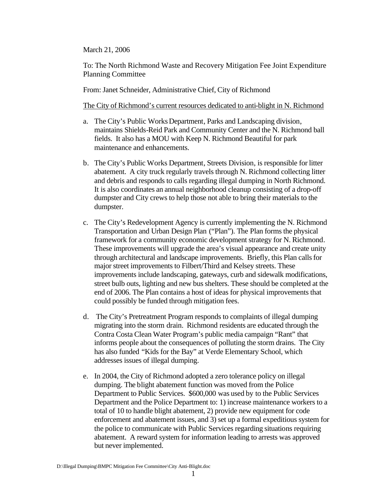March 21, 2006

To: The North Richmond Waste and Recovery Mitigation Fee Joint Expenditure Planning Committee

From: Janet Schneider, Administrative Chief, City of Richmond

The City of Richmond's current resources dedicated to anti-blight in N. Richmond

- a. The City's Public Works Department, Parks and Landscaping division, maintains Shields-Reid Park and Community Center and the N. Richmond ball fields. It also has a MOU with Keep N. Richmond Beautiful for park maintenance and enhancements.
- b. The City's Public Works Department, Streets Division, is responsible for litter abatement. A city truck regularly travels through N. Richmond collecting litter and debris and responds to calls regarding illegal dumping in North Richmond. It is also coordinates an annual neighborhood cleanup consisting of a drop-off dumpster and City crews to help those not able to bring their materials to the dumpster.
- c. The City's Redevelopment Agency is currently implementing the N. Richmond Transportation and Urban Design Plan ("Plan"). The Plan forms the physical framework for a community economic development strategy for N. Richmond. These improvements will upgrade the area's visual appearance and create unity through architectural and landscape improvements. Briefly, this Plan calls for major street improvements to Filbert/Third and Kelsey streets. These improvements include landscaping, gateways, curb and sidewalk modifications, street bulb outs, lighting and new bus shelters. These should be completed at the end of 2006. The Plan contains a host of ideas for physical improvements that could possibly be funded through mitigation fees.
- d. The City's Pretreatment Program responds to complaints of illegal dumping migrating into the storm drain. Richmond residents are educated through the Contra Costa Clean Water Program's public media campaign "Rant" that informs people about the consequences of polluting the storm drains. The City has also funded "Kids for the Bay" at Verde Elementary School, which addresses issues of illegal dumping.
- e. In 2004, the City of Richmond adopted a zero tolerance policy on illegal dumping. The blight abatement function was moved from the Police Department to Public Services. \$600,000 was used by to the Public Services Department and the Police Department to: 1) increase maintenance workers to a total of 10 to handle blight abatement, 2) provide new equipment for code enforcement and abatement issues, and 3) set up a formal expeditious system for the police to communicate with Public Services regarding situations requiring abatement. A reward system for information leading to arrests was approved but never implemented.

D:\Illegal Dumping\BMPC Mitigation Fee Committee\City Anti-Blight.doc